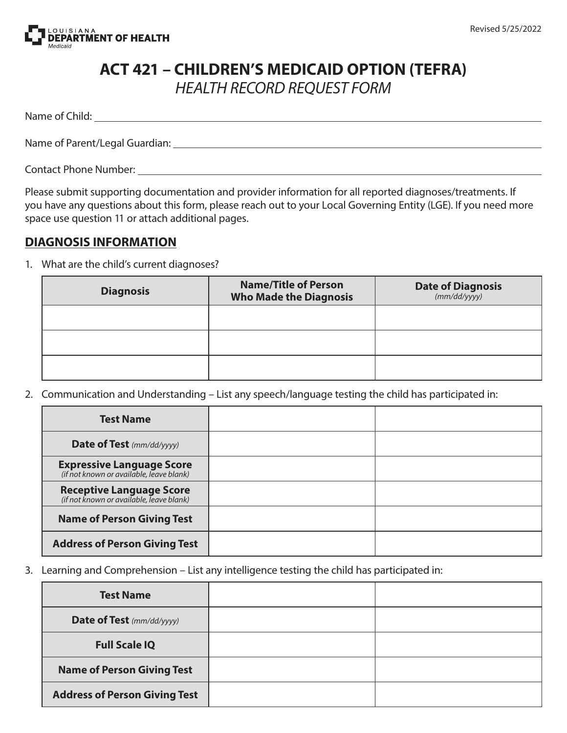

## **ACT 421 – CHILDREN'S MEDICAID OPTION (TEFRA)** *HEALTH RECORD REQUEST FORM*

Name of Child:

Name of Parent/Legal Guardian:

Contact Phone Number:

Please submit supporting documentation and provider information for all reported diagnoses/treatments. If you have any questions about this form, please reach out to your Local Governing Entity (LGE). If you need more space use question 11 or attach additional pages.

## **DIAGNOSIS INFORMATION**

1. What are the child's current diagnoses?

| <b>Diagnosis</b> | <b>Name/Title of Person</b><br><b>Who Made the Diagnosis</b> | <b>Date of Diagnosis</b><br>(mm/dd/yyyy) |
|------------------|--------------------------------------------------------------|------------------------------------------|
|                  |                                                              |                                          |
|                  |                                                              |                                          |
|                  |                                                              |                                          |

2. Communication and Understanding – List any speech/language testing the child has participated in:

| <b>Test Name</b>                                                             |  |
|------------------------------------------------------------------------------|--|
| <b>Date of Test</b> (mm/dd/yyyy)                                             |  |
| <b>Expressive Language Score</b><br>(if not known or available, leave blank) |  |
| <b>Receptive Language Score</b><br>(if not known or available, leave blank)  |  |
| <b>Name of Person Giving Test</b>                                            |  |
| <b>Address of Person Giving Test</b>                                         |  |

3. Learning and Comprehension – List any intelligence testing the child has participated in:

| <b>Test Name</b>                     |  |
|--------------------------------------|--|
| <b>Date of Test</b> (mm/dd/yyyy)     |  |
| <b>Full Scale IQ</b>                 |  |
| <b>Name of Person Giving Test</b>    |  |
| <b>Address of Person Giving Test</b> |  |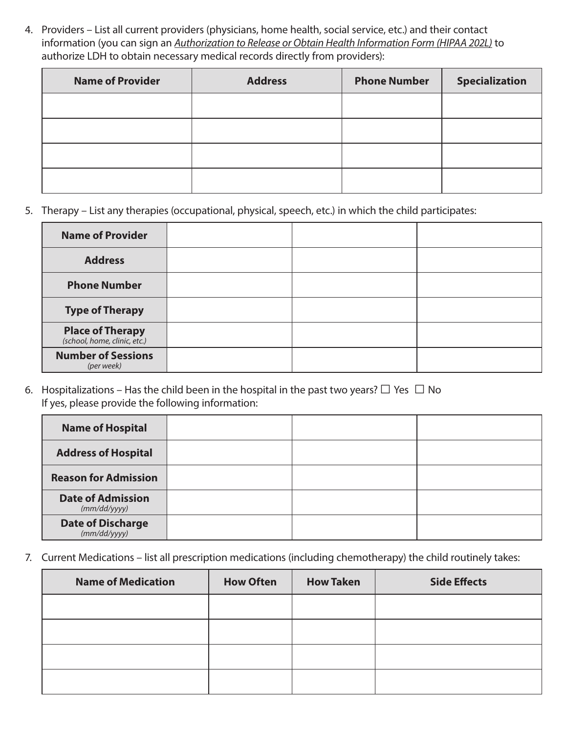4. Providers – List all current providers (physicians, home health, social service, etc.) and their contact information (you can sign an *Authorization to Release or Obtain Health Information Form (HIPAA 202L)* to authorize LDH to obtain necessary medical records directly from providers):

| <b>Name of Provider</b> | <b>Address</b> | <b>Phone Number</b> | <b>Specialization</b> |
|-------------------------|----------------|---------------------|-----------------------|
|                         |                |                     |                       |
|                         |                |                     |                       |
|                         |                |                     |                       |
|                         |                |                     |                       |

5. Therapy – List any therapies (occupational, physical, speech, etc.) in which the child participates:

| <b>Name of Provider</b>                              |  |  |
|------------------------------------------------------|--|--|
| <b>Address</b>                                       |  |  |
| <b>Phone Number</b>                                  |  |  |
| <b>Type of Therapy</b>                               |  |  |
| <b>Place of Therapy</b> (school, home, clinic, etc.) |  |  |
| <b>Number of Sessions</b><br>(per week)              |  |  |

6. Hospitalizations – Has the child been in the hospital in the past two years?  $\Box$  Yes  $\Box$  No If yes, please provide the following information:

| <b>Name of Hospital</b>                  |  |  |
|------------------------------------------|--|--|
| <b>Address of Hospital</b>               |  |  |
| <b>Reason for Admission</b>              |  |  |
| <b>Date of Admission</b><br>(mm/dd/yyyy) |  |  |
| <b>Date of Discharge</b><br>(mm/dd/yyyy) |  |  |

7. Current Medications – list all prescription medications (including chemotherapy) the child routinely takes:

| <b>Name of Medication</b> | <b>How Often</b> | <b>How Taken</b> | <b>Side Effects</b> |
|---------------------------|------------------|------------------|---------------------|
|                           |                  |                  |                     |
|                           |                  |                  |                     |
|                           |                  |                  |                     |
|                           |                  |                  |                     |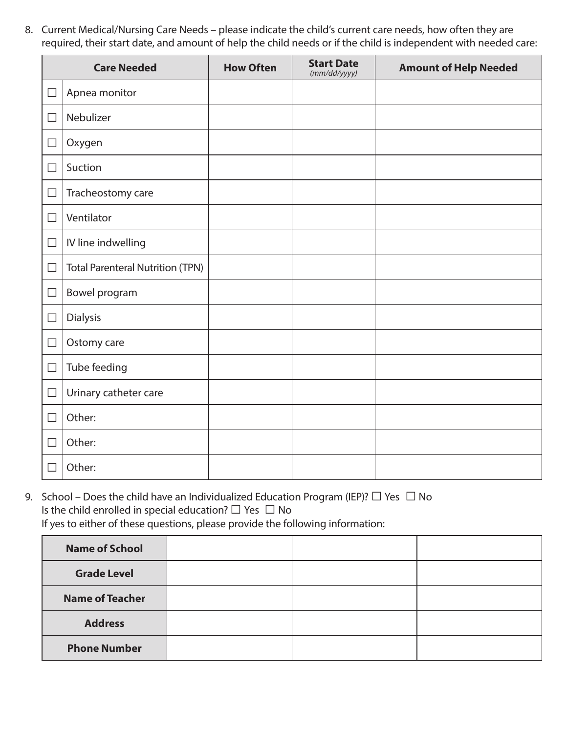8. Current Medical/Nursing Care Needs – please indicate the child's current care needs, how often they are required, their start date, and amount of help the child needs or if the child is independent with needed care:

|        | <b>Care Needed</b>                      | <b>How Often</b> | <b>Start Date</b><br>(mm/dd/yyyy) | <b>Amount of Help Needed</b> |
|--------|-----------------------------------------|------------------|-----------------------------------|------------------------------|
| $\Box$ | Apnea monitor                           |                  |                                   |                              |
| $\Box$ | Nebulizer                               |                  |                                   |                              |
| $\Box$ | Oxygen                                  |                  |                                   |                              |
| $\Box$ | Suction                                 |                  |                                   |                              |
| $\Box$ | Tracheostomy care                       |                  |                                   |                              |
| $\Box$ | Ventilator                              |                  |                                   |                              |
| $\Box$ | IV line indwelling                      |                  |                                   |                              |
| $\Box$ | <b>Total Parenteral Nutrition (TPN)</b> |                  |                                   |                              |
| $\Box$ | Bowel program                           |                  |                                   |                              |
| $\Box$ | <b>Dialysis</b>                         |                  |                                   |                              |
| $\Box$ | Ostomy care                             |                  |                                   |                              |
| $\Box$ | Tube feeding                            |                  |                                   |                              |
| $\Box$ | Urinary catheter care                   |                  |                                   |                              |
| $\Box$ | Other:                                  |                  |                                   |                              |
| $\Box$ | Other:                                  |                  |                                   |                              |
| $\Box$ | Other:                                  |                  |                                   |                              |

9. School – Does the child have an Individualized Education Program (IEP)?  $\Box$  Yes  $\Box$  No Is the child enrolled in special education?  $\square$  Yes  $\square$  No If yes to either of these questions, please provide the following information:

| <b>Name of School</b>  |  |  |
|------------------------|--|--|
| <b>Grade Level</b>     |  |  |
| <b>Name of Teacher</b> |  |  |
| <b>Address</b>         |  |  |
| <b>Phone Number</b>    |  |  |